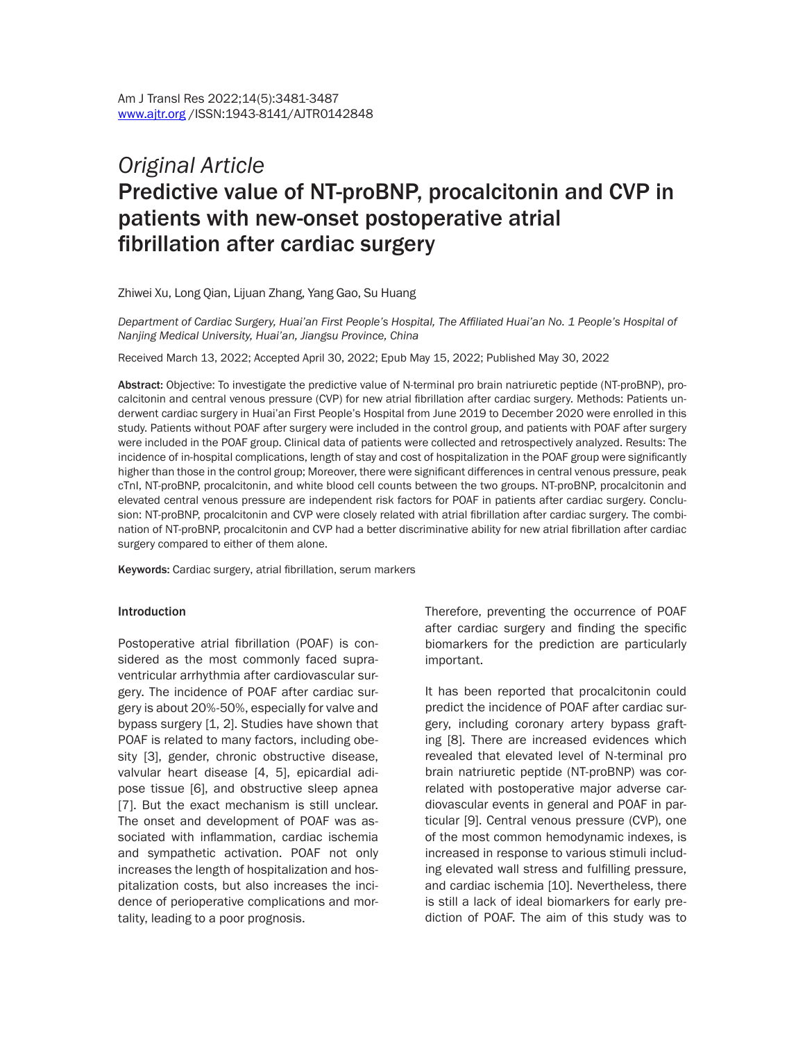# *Original Article* Predictive value of NT-proBNP, procalcitonin and CVP in patients with new-onset postoperative atrial fibrillation after cardiac surgery

Zhiwei Xu, Long Qian, Lijuan Zhang, Yang Gao, Su Huang

*Department of Cardiac Surgery, Huai'an First People's Hospital, The Affiliated Huai'an No. 1 People's Hospital of Nanjing Medical University, Huai'an, Jiangsu Province, China* 

Received March 13, 2022; Accepted April 30, 2022; Epub May 15, 2022; Published May 30, 2022

Abstract: Objective: To investigate the predictive value of N-terminal pro brain natriuretic peptide (NT-proBNP), procalcitonin and central venous pressure (CVP) for new atrial fibrillation after cardiac surgery. Methods: Patients underwent cardiac surgery in Huai'an First People's Hospital from June 2019 to December 2020 were enrolled in this study. Patients without POAF after surgery were included in the control group, and patients with POAF after surgery were included in the POAF group. Clinical data of patients were collected and retrospectively analyzed. Results: The incidence of in-hospital complications, length of stay and cost of hospitalization in the POAF group were significantly higher than those in the control group; Moreover, there were significant differences in central venous pressure, peak cTnI, NT-proBNP, procalcitonin, and white blood cell counts between the two groups. NT-proBNP, procalcitonin and elevated central venous pressure are independent risk factors for POAF in patients after cardiac surgery. Conclusion: NT-proBNP, procalcitonin and CVP were closely related with atrial fibrillation after cardiac surgery. The combination of NT-proBNP, procalcitonin and CVP had a better discriminative ability for new atrial fibrillation after cardiac surgery compared to either of them alone.

Keywords: Cardiac surgery, atrial fibrillation, serum markers

#### **Introduction**

Postoperative atrial fibrillation (POAF) is considered as the most commonly faced supraventricular arrhythmia after cardiovascular surgery. The incidence of POAF after cardiac surgery is about 20%-50%, especially for valve and bypass surgery [1, 2]. Studies have shown that POAF is related to many factors, including obesity [3], gender, chronic obstructive disease, valvular heart disease [4, 5], epicardial adipose tissue [6], and obstructive sleep apnea [7]. But the exact mechanism is still unclear. The onset and development of POAF was associated with inflammation, cardiac ischemia and sympathetic activation. POAF not only increases the length of hospitalization and hospitalization costs, but also increases the incidence of perioperative complications and mortality, leading to a poor prognosis.

Therefore, preventing the occurrence of POAF after cardiac surgery and finding the specific biomarkers for the prediction are particularly important.

It has been reported that procalcitonin could predict the incidence of POAF after cardiac surgery, including coronary artery bypass grafting [8]. There are increased evidences which revealed that elevated level of N-terminal pro brain natriuretic peptide (NT-proBNP) was correlated with postoperative major adverse cardiovascular events in general and POAF in particular [9]. Central venous pressure (CVP), one of the most common hemodynamic indexes, is increased in response to various stimuli including elevated wall stress and fulfilling pressure, and cardiac ischemia [10]. Nevertheless, there is still a lack of ideal biomarkers for early prediction of POAF. The aim of this study was to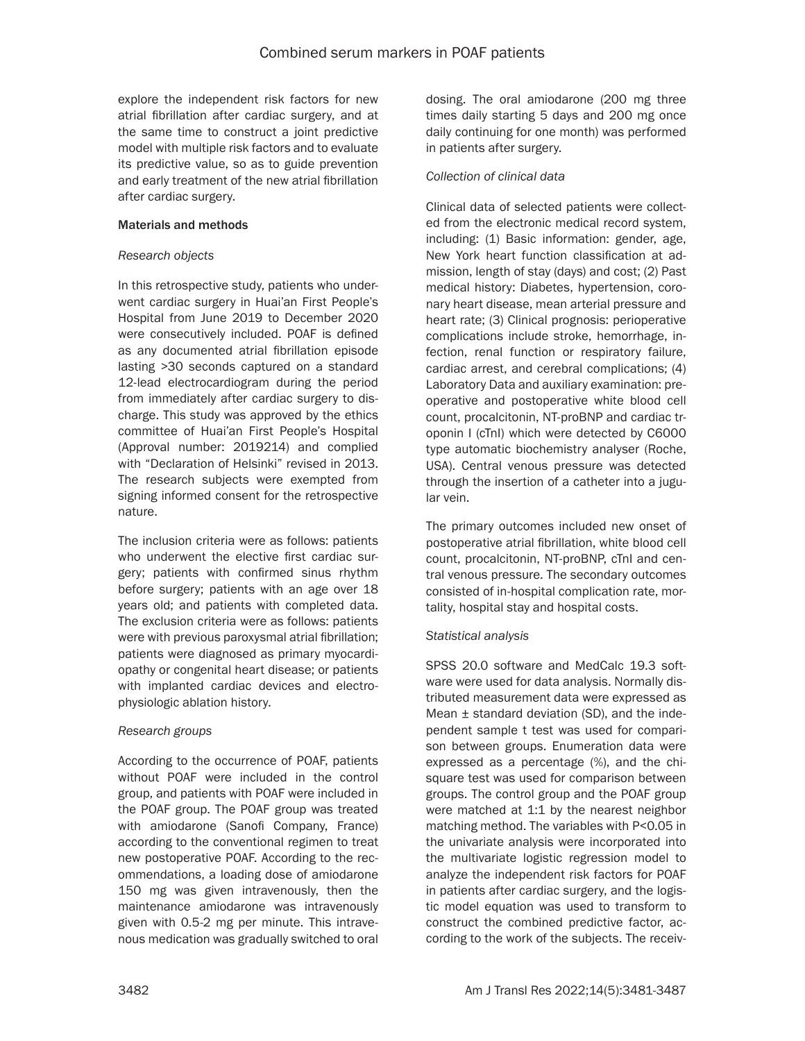explore the independent risk factors for new atrial fibrillation after cardiac surgery, and at the same time to construct a joint predictive model with multiple risk factors and to evaluate its predictive value, so as to guide prevention and early treatment of the new atrial fibrillation after cardiac surgery.

### Materials and methods

### *Research objects*

In this retrospective study, patients who underwent cardiac surgery in Huai'an First People's Hospital from June 2019 to December 2020 were consecutively included. POAF is defined as any documented atrial fibrillation episode lasting >30 seconds captured on a standard 12-lead electrocardiogram during the period from immediately after cardiac surgery to discharge. This study was approved by the ethics committee of Huai'an First People's Hospital (Approval number: 2019214) and complied with "Declaration of Helsinki" revised in 2013. The research subjects were exempted from signing informed consent for the retrospective nature.

The inclusion criteria were as follows: patients who underwent the elective first cardiac surgery; patients with confirmed sinus rhythm before surgery; patients with an age over 18 years old; and patients with completed data. The exclusion criteria were as follows: patients were with previous paroxysmal atrial fibrillation; patients were diagnosed as primary myocardiopathy or congenital heart disease; or patients with implanted cardiac devices and electrophysiologic ablation history.

### *Research groups*

According to the occurrence of POAF, patients without POAF were included in the control group, and patients with POAF were included in the POAF group. The POAF group was treated with amiodarone (Sanofi Company, France) according to the conventional regimen to treat new postoperative POAF. According to the recommendations, a loading dose of amiodarone 150 mg was given intravenously, then the maintenance amiodarone was intravenously given with 0.5-2 mg per minute. This intravenous medication was gradually switched to oral dosing. The oral amiodarone (200 mg three times daily starting 5 days and 200 mg once daily continuing for one month) was performed in patients after surgery.

### *Collection of clinical data*

Clinical data of selected patients were collected from the electronic medical record system, including: (1) Basic information: gender, age, New York heart function classification at admission, length of stay (days) and cost; (2) Past medical history: Diabetes, hypertension, coronary heart disease, mean arterial pressure and heart rate; (3) Clinical prognosis: perioperative complications include stroke, hemorrhage, infection, renal function or respiratory failure, cardiac arrest, and cerebral complications; (4) Laboratory Data and auxiliary examination: preoperative and postoperative white blood cell count, procalcitonin, NT-proBNP and cardiac troponin I (cTnI) which were detected by C6000 type automatic biochemistry analyser (Roche, USA). Central venous pressure was detected through the insertion of a catheter into a jugular vein.

The primary outcomes included new onset of postoperative atrial fibrillation, white blood cell count, procalcitonin, NT-proBNP, cTnI and central venous pressure. The secondary outcomes consisted of in-hospital complication rate, mortality, hospital stay and hospital costs.

### *Statistical analysis*

SPSS 20.0 software and MedCalc 19.3 software were used for data analysis. Normally distributed measurement data were expressed as Mean ± standard deviation (SD), and the independent sample t test was used for comparison between groups. Enumeration data were expressed as a percentage (%), and the chisquare test was used for comparison between groups. The control group and the POAF group were matched at 1:1 by the nearest neighbor matching method. The variables with P<0.05 in the univariate analysis were incorporated into the multivariate logistic regression model to analyze the independent risk factors for POAF in patients after cardiac surgery, and the logistic model equation was used to transform to construct the combined predictive factor, according to the work of the subjects. The receiv-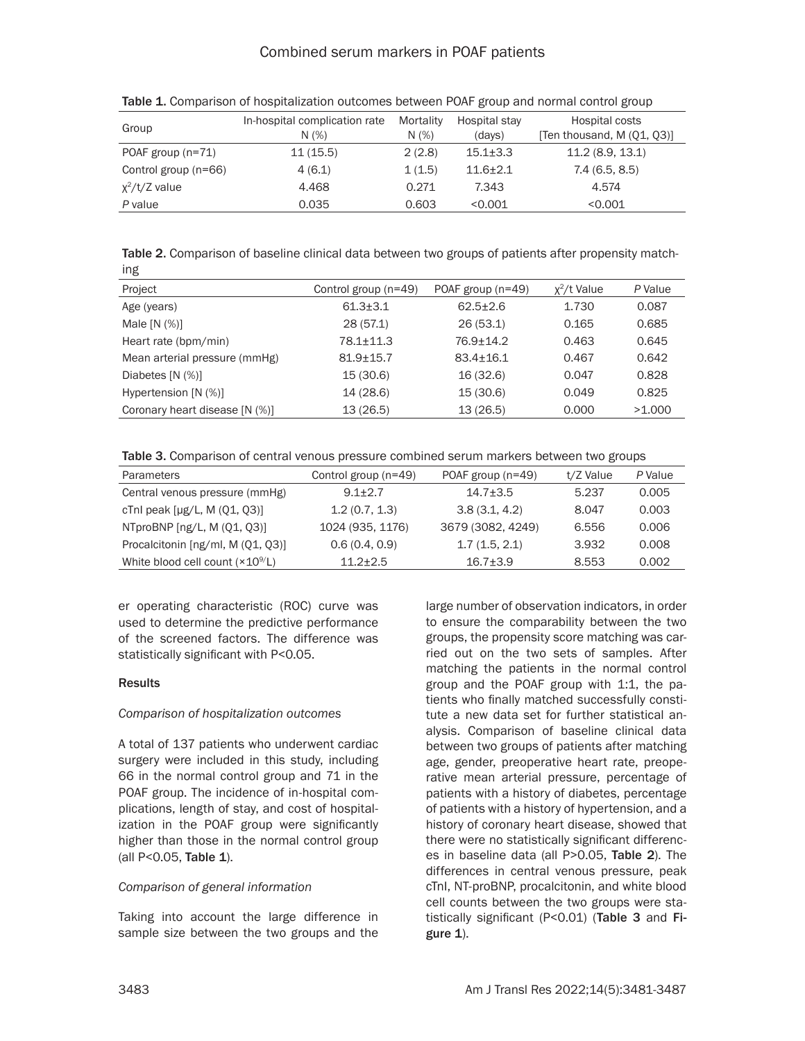| Group                | In-hospital complication rate<br>N(%) | Mortality<br>N(%) | Hospital stay<br>(days) | Hospital costs<br>[Ten thousand, M (Q1, Q3)] |
|----------------------|---------------------------------------|-------------------|-------------------------|----------------------------------------------|
| POAF group $(n=71)$  | 11(15.5)                              | 2(2.8)            | $15.1 \pm 3.3$          | 11.2(8.9, 13.1)                              |
| Control group (n=66) | 4(6.1)                                | 1(1.5)            | $11.6 + 2.1$            | 7.4(6.5, 8.5)                                |
| $x^2/t/Z$ value      | 4.468                                 | 0.271             | 7.343                   | 4.574                                        |
| P value              | 0.035                                 | 0.603             | < 0.001                 | < 0.001                                      |

Table 1. Comparison of hospitalization outcomes between POAF group and normal control group

Table 2. Comparison of baseline clinical data between two groups of patients after propensity matching

| Project                        | Control group (n=49) | POAF group $(n=49)$ | $x^2/t$ Value | P Value |
|--------------------------------|----------------------|---------------------|---------------|---------|
|                                |                      |                     |               |         |
| Age (years)                    | $61.3 \pm 3.1$       | $62.5 \pm 2.6$      | 1.730         | 0.087   |
| Male $[N (%)]$                 | 28(57.1)             | 26(53.1)            | 0.165         | 0.685   |
| Heart rate (bpm/min)           | $78.1 + 11.3$        | 76.9+14.2           | 0.463         | 0.645   |
| Mean arterial pressure (mmHg)  | $81.9 + 15.7$        | $83.4 + 16.1$       | 0.467         | 0.642   |
| Diabetes $[N (%)]$             | 15 (30.6)            | 16 (32.6)           | 0.047         | 0.828   |
| Hypertension [N (%)]           | 14 (28.6)            | 15(30.6)            | 0.049         | 0.825   |
| Coronary heart disease [N (%)] | 13(26.5)             | 13(26.5)            | 0.000         | >1.000  |

Table 3. Comparison of central venous pressure combined serum markers between two groups

| Parameters                         | Control group (n=49) | POAF group $(n=49)$ | t/Z Value | P Value |
|------------------------------------|----------------------|---------------------|-----------|---------|
| Central venous pressure (mmHg)     | $9.1 + 2.7$          | $14.7 + 3.5$        | 5.237     | 0.005   |
| cTnl peak $[\mu g/L, M (Q1, Q3)]$  | 1.2(0.7, 1.3)        | 3.8(3.1, 4.2)       | 8.047     | 0.003   |
| NTproBNP [ng/L, M (Q1, Q3)]        | 1024 (935, 1176)     | 3679 (3082, 4249)   | 6.556     | 0.006   |
| Procalcitonin [ng/ml, M (Q1, Q3)]  | 0.6(0.4, 0.9)        | 1.7(1.5, 2.1)       | 3.932     | 0.008   |
| White blood cell count $(x10^9/L)$ | $11.2 + 2.5$         | $16.7 + 3.9$        | 8.553     | 0.002   |

er operating characteristic (ROC) curve was used to determine the predictive performance of the screened factors. The difference was statistically significant with P<0.05.

# **Results**

# *Comparison of hospitalization outcomes*

A total of 137 patients who underwent cardiac surgery were included in this study, including 66 in the normal control group and 71 in the POAF group. The incidence of in-hospital complications, length of stay, and cost of hospitalization in the POAF group were significantly higher than those in the normal control group (all P<0.05, Table 1).

### *Comparison of general information*

Taking into account the large difference in sample size between the two groups and the

large number of observation indicators, in order to ensure the comparability between the two groups, the propensity score matching was carried out on the two sets of samples. After matching the patients in the normal control group and the POAF group with 1:1, the patients who finally matched successfully constitute a new data set for further statistical analysis. Comparison of baseline clinical data between two groups of patients after matching age, gender, preoperative heart rate, preoperative mean arterial pressure, percentage of patients with a history of diabetes, percentage of patients with a history of hypertension, and a history of coronary heart disease, showed that there were no statistically significant differences in baseline data (all P>0.05, Table 2). The differences in central venous pressure, peak cTnI, NT-proBNP, procalcitonin, and white blood cell counts between the two groups were statistically significant (P<0.01) (Table 3 and Fi $gure 1$ ).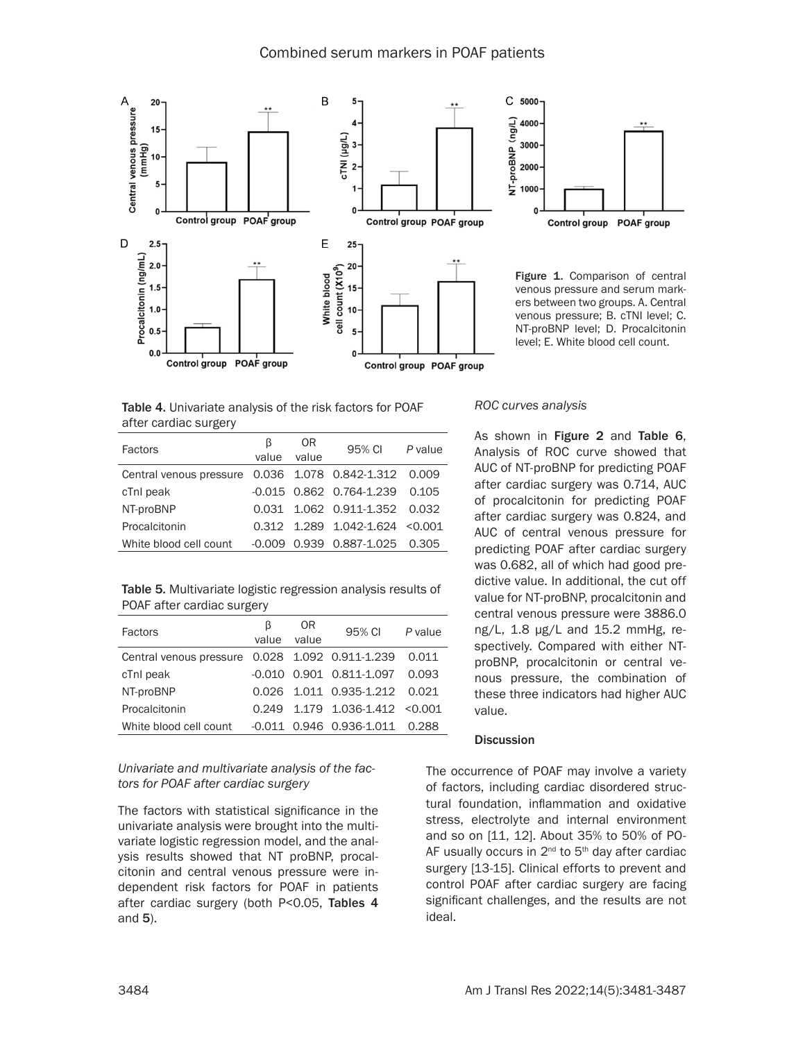

Table 4. Univariate analysis of the risk factors for POAF after cardiac surgery

| Factors                                               | B<br>value | 0R<br>value | 95% CI                           | P value |
|-------------------------------------------------------|------------|-------------|----------------------------------|---------|
| Central venous pressure 0.036 1.078 0.842-1.312 0.009 |            |             |                                  |         |
| cTnI peak                                             |            |             | $-0.015$ 0.862 0.764-1.239 0.105 |         |
| NT-proBNP                                             |            |             | 0.031 1.062 0.911-1.352 0.032    |         |
| Procalcitonin                                         |            |             | 0.312 1.289 1.042-1.624 < 0.001  |         |
| White blood cell count                                | -0.009     |             | 0.939   0.887-1.025              | 0.305   |

Table 5. Multivariate logistic regression analysis results of POAF after cardiac surgery

| Factors                                               | ß<br>value | 0R<br>value | 95% CI                                 | P value |
|-------------------------------------------------------|------------|-------------|----------------------------------------|---------|
| Central venous pressure 0.028 1.092 0.911-1.239 0.011 |            |             |                                        |         |
| cTnl peak                                             |            |             | $-0.010$ $0.901$ $0.811-1.097$ $0.093$ |         |
| NT-proBNP                                             |            |             | 0.026 1.011 0.935-1.212 0.021          |         |
| Procalcitonin                                         |            |             | $0.249$ 1.179 1.036-1.412 < 0.001      |         |
| White blood cell count                                |            |             | $-0.011$ 0.946 0.936-1.011 0.288       |         |

### *Univariate and multivariate analysis of the factors for POAF after cardiac surgery*

The factors with statistical significance in the univariate analysis were brought into the multivariate logistic regression model, and the analysis results showed that NT proBNP, procalcitonin and central venous pressure were independent risk factors for POAF in patients after cardiac surgery (both P<0.05, Tables 4 and 5).



Figure 1. Comparison of central venous pressure and serum markers between two groups. A. Central venous pressure; B. cTNI level; C. NT-proBNP level; D. Procalcitonin level; E. White blood cell count.

### *ROC curves analysis*

As shown in Figure 2 and Table 6, Analysis of ROC curve showed that AUC of NT-proBNP for predicting POAF after cardiac surgery was 0.714, AUC of procalcitonin for predicting POAF after cardiac surgery was 0.824, and AUC of central venous pressure for predicting POAF after cardiac surgery was 0.682, all of which had good predictive value. In additional, the cut off value for NT-proBNP, procalcitonin and central venous pressure were 3886.0 ng/L, 1.8 μg/L and 15.2 mmHg, respectively. Compared with either NTproBNP, procalcitonin or central venous pressure, the combination of these three indicators had higher AUC value.

#### **Discussion**

The occurrence of POAF may involve a variety of factors, including cardiac disordered structural foundation, inflammation and oxidative stress, electrolyte and internal environment and so on [11, 12]. About 35% to 50% of PO-AF usually occurs in  $2^{nd}$  to  $5^{th}$  day after cardiac surgery [13-15]. Clinical efforts to prevent and control POAF after cardiac surgery are facing significant challenges, and the results are not ideal.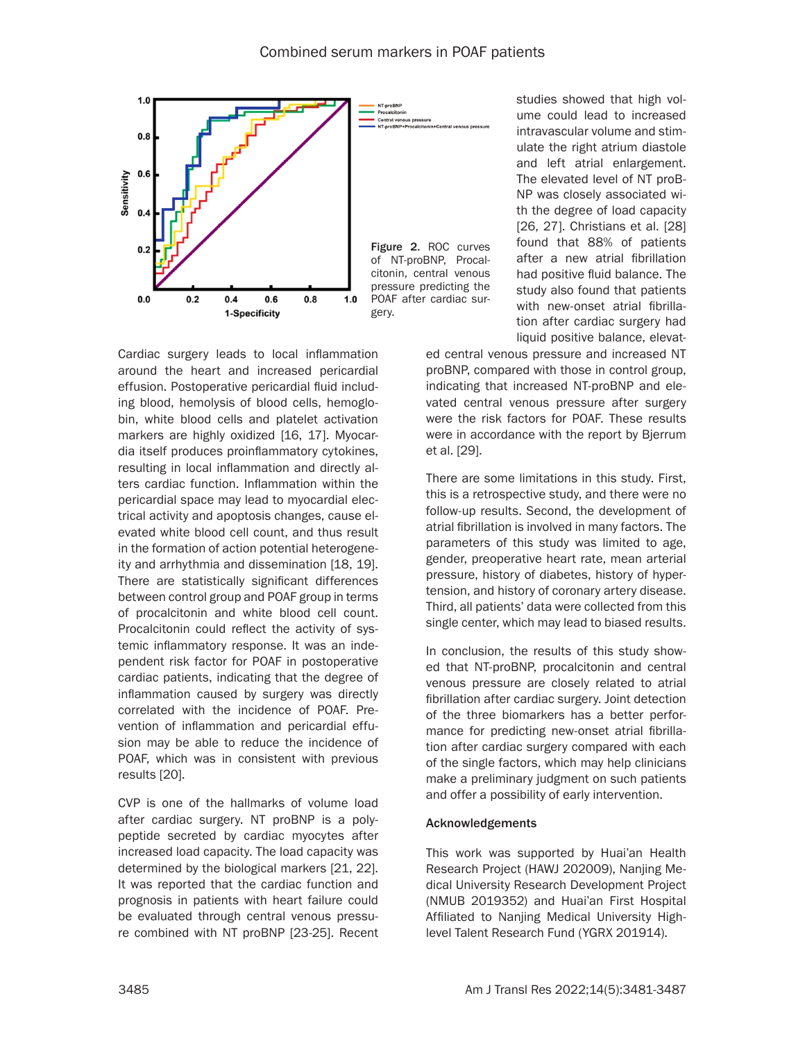

Cardiac surgery leads to local inflammation around the heart and increased pericardial effusion. Postoperative pericardial fluid including blood, hemolysis of blood cells, hemoglobin, white blood cells and platelet activation markers are highly oxidized [16, 17]. Myocardia itself produces proinflammatory cytokines, resulting in local inflammation and directly alters cardiac function. Inflammation within the pericardial space may lead to myocardial electrical activity and apoptosis changes, cause elevated white blood cell count, and thus result in the formation of action potential heterogeneity and arrhythmia and dissemination [18, 19]. There are statistically significant differences between control group and POAF group in terms of procalcitonin and white blood cell count. Procalcitonin could reflect the activity of systemic inflammatory response. It was an independent risk factor for POAF in postoperative cardiac patients, indicating that the degree of inflammation caused by surgery was directly correlated with the incidence of POAF. Prevention of inflammation and pericardial effusion may be able to reduce the incidence of POAF, which was in consistent with previous results [20].

CVP is one of the hallmarks of volume load after cardiac surgery. NT proBNP is a polypeptide secreted by cardiac myocytes after increased load capacity. The load capacity was determined by the biological markers [21, 22]. It was reported that the cardiac function and prognosis in patients with heart failure could be evaluated through central venous pressure combined with NT proBNP [23-25]. Recent studies showed that high volume could lead to increased intravascular volume and stimulate the right atrium diastole and left atrial enlargement. The elevated level of NT proB-NP was closely associated with the degree of load capacity [26, 27]. Christians et al. [28] found that 88% of patients after a new atrial fibrillation had positive fluid balance. The study also found that patients with new-onset atrial fibrillation after cardiac surgery had liquid positive balance, elevat-

ed central venous pressure and increased NT proBNP, compared with those in control group, indicating that increased NT-proBNP and elevated central venous pressure after surgery were the risk factors for POAF. These results were in accordance with the report by Bjerrum et al. [29].

There are some limitations in this study. First, this is a retrospective study, and there were no follow-up results. Second, the development of atrial fibrillation is involved in many factors. The parameters of this study was limited to age, gender, preoperative heart rate, mean arterial pressure, history of diabetes, history of hypertension, and history of coronary artery disease. Third, all patients' data were collected from this single center, which may lead to biased results.

In conclusion, the results of this study showed that NT-proBNP, procalcitonin and central venous pressure are closely related to atrial fibrillation after cardiac surgery. Joint detection of the three biomarkers has a better performance for predicting new-onset atrial fibrillation after cardiac surgery compared with each of the single factors, which may help clinicians make a preliminary judgment on such patients and offer a possibility of early intervention.

### Acknowledgements

This work was supported by Huai'an Health Research Project (HAWJ 202009), Nanjing Medical University Research Development Project (NMUB 2019352) and Huai'an First Hospital Affiliated to Nanjing Medical University Highlevel Talent Research Fund (YGRX 201914).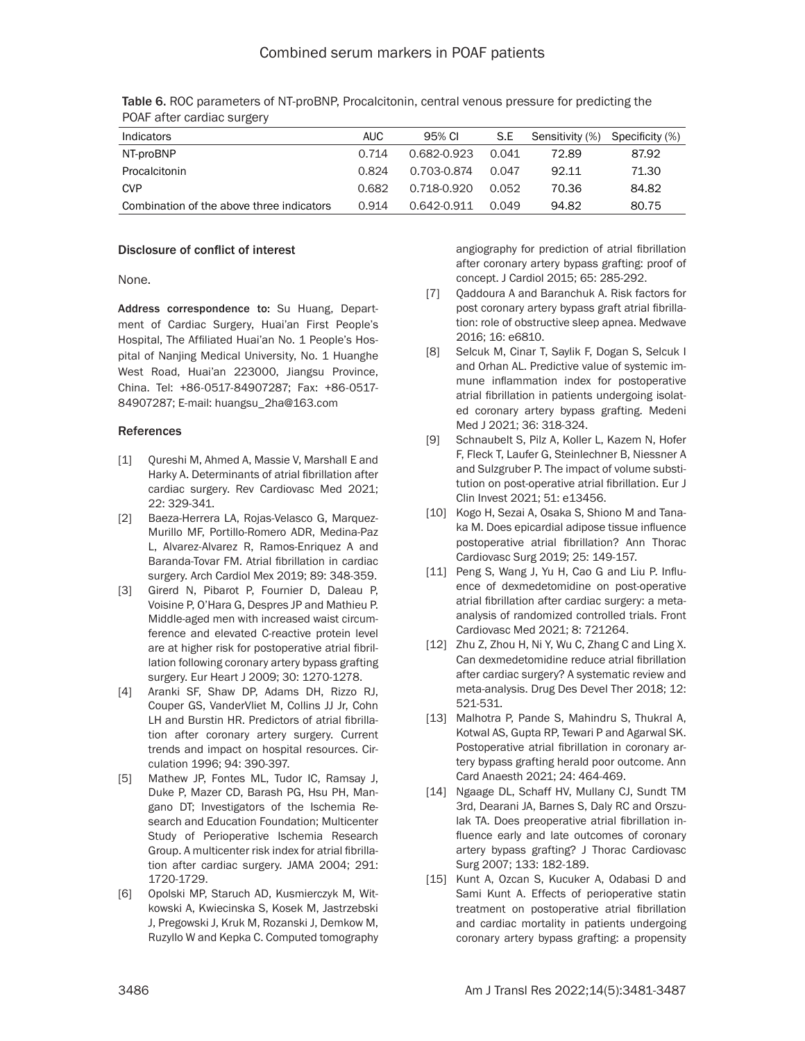| Indicators                                | AUC.  | 95% CI      | S.E   | Sensitivity (%) | Specificity (%) |
|-------------------------------------------|-------|-------------|-------|-----------------|-----------------|
| NT-proBNP                                 | 0.714 | 0.682-0.923 | 0.041 | 72.89           | 87.92           |
| Procalcitonin                             | 0.824 | 0.703-0.874 | 0 047 | 92.11           | 71.30           |
| <b>CVP</b>                                | 0.682 | 0.718-0.920 | 0.052 | 70.36           | 84.82           |
| Combination of the above three indicators | 0.914 | 0.642-0.911 | 0.049 | 94.82           | 80.75           |

Table 6. ROC parameters of NT-proBNP, Procalcitonin, central venous pressure for predicting the POAF after cardiac surgery

### Disclosure of conflict of interest

None.

Address correspondence to: Su Huang, Department of Cardiac Surgery, Huai'an First People's Hospital, The Affiliated Huai'an No. 1 People's Hospital of Nanjing Medical University, No. 1 Huanghe West Road, Huai'an 223000, Jiangsu Province, China. Tel: +86-0517-84907287; Fax: +86-0517- 84907287; E-mail: huangsu\_2ha@163.com

### References

- [1] Qureshi M, Ahmed A, Massie V, Marshall E and Harky A. Determinants of atrial fibrillation after cardiac surgery. Rev Cardiovasc Med 2021; 22: 329-341.
- [2] Baeza-Herrera LA, Rojas-Velasco G, Marquez-Murillo MF, Portillo-Romero ADR, Medina-Paz L, Alvarez-Alvarez R, Ramos-Enriquez A and Baranda-Tovar FM. Atrial fibrillation in cardiac surgery. Arch Cardiol Mex 2019; 89: 348-359.
- [3] Girerd N, Pibarot P, Fournier D, Daleau P, Voisine P, O'Hara G, Despres JP and Mathieu P. Middle-aged men with increased waist circumference and elevated C-reactive protein level are at higher risk for postoperative atrial fibrillation following coronary artery bypass grafting surgery. Eur Heart J 2009; 30: 1270-1278.
- [4] Aranki SF, Shaw DP, Adams DH, Rizzo RJ, Couper GS, VanderVliet M, Collins JJ Jr, Cohn LH and Burstin HR. Predictors of atrial fibrillation after coronary artery surgery. Current trends and impact on hospital resources. Circulation 1996; 94: 390-397.
- [5] Mathew JP, Fontes ML, Tudor IC, Ramsay J, Duke P, Mazer CD, Barash PG, Hsu PH, Mangano DT; Investigators of the Ischemia Research and Education Foundation; Multicenter Study of Perioperative Ischemia Research Group. A multicenter risk index for atrial fibrillation after cardiac surgery. JAMA 2004; 291: 1720-1729.
- [6] Opolski MP, Staruch AD, Kusmierczyk M, Witkowski A, Kwiecinska S, Kosek M, Jastrzebski J, Pregowski J, Kruk M, Rozanski J, Demkow M, Ruzyllo W and Kepka C. Computed tomography

angiography for prediction of atrial fibrillation after coronary artery bypass grafting: proof of concept. J Cardiol 2015; 65: 285-292.

- [7] Qaddoura A and Baranchuk A. Risk factors for post coronary artery bypass graft atrial fibrillation: role of obstructive sleep apnea. Medwave 2016; 16: e6810.
- [8] Selcuk M, Cinar T, Saylik F, Dogan S, Selcuk I and Orhan AL. Predictive value of systemic immune inflammation index for postoperative atrial fibrillation in patients undergoing isolated coronary artery bypass grafting. Medeni Med J 2021; 36: 318-324.
- [9] Schnaubelt S, Pilz A, Koller L, Kazem N, Hofer F, Fleck T, Laufer G, Steinlechner B, Niessner A and Sulzgruber P. The impact of volume substitution on post-operative atrial fibrillation. Eur J Clin Invest 2021; 51: e13456.
- [10] Kogo H, Sezai A, Osaka S, Shiono M and Tanaka M. Does epicardial adipose tissue influence postoperative atrial fibrillation? Ann Thorac Cardiovasc Surg 2019; 25: 149-157.
- [11] Peng S, Wang J, Yu H, Cao G and Liu P. Influence of dexmedetomidine on post-operative atrial fibrillation after cardiac surgery: a metaanalysis of randomized controlled trials. Front Cardiovasc Med 2021; 8: 721264.
- [12] Zhu Z, Zhou H, Ni Y, Wu C, Zhang C and Ling X. Can dexmedetomidine reduce atrial fibrillation after cardiac surgery? A systematic review and meta-analysis. Drug Des Devel Ther 2018; 12: 521-531.
- [13] Malhotra P, Pande S, Mahindru S, Thukral A, Kotwal AS, Gupta RP, Tewari P and Agarwal SK. Postoperative atrial fibrillation in coronary artery bypass grafting herald poor outcome. Ann Card Anaesth 2021; 24: 464-469.
- [14] Ngaage DL, Schaff HV, Mullany CJ, Sundt TM 3rd, Dearani JA, Barnes S, Daly RC and Orszulak TA. Does preoperative atrial fibrillation influence early and late outcomes of coronary artery bypass grafting? J Thorac Cardiovasc Surg 2007; 133: 182-189.
- [15] Kunt A, Ozcan S, Kucuker A, Odabasi D and Sami Kunt A. Effects of perioperative statin treatment on postoperative atrial fibrillation and cardiac mortality in patients undergoing coronary artery bypass grafting: a propensity